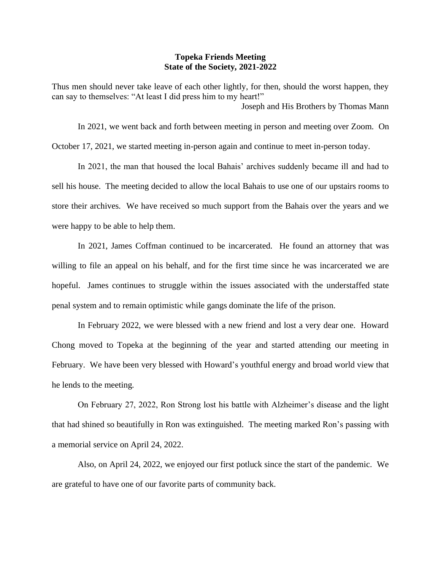## **Topeka Friends Meeting State of the Society, 2021-2022**

Thus men should never take leave of each other lightly, for then, should the worst happen, they can say to themselves: "At least I did press him to my heart!" Joseph and His Brothers by Thomas Mann

In 2021, we went back and forth between meeting in person and meeting over Zoom. On October 17, 2021, we started meeting in-person again and continue to meet in-person today.

In 2021, the man that housed the local Bahais' archives suddenly became ill and had to sell his house. The meeting decided to allow the local Bahais to use one of our upstairs rooms to store their archives. We have received so much support from the Bahais over the years and we were happy to be able to help them.

In 2021, James Coffman continued to be incarcerated. He found an attorney that was willing to file an appeal on his behalf, and for the first time since he was incarcerated we are hopeful. James continues to struggle within the issues associated with the understaffed state penal system and to remain optimistic while gangs dominate the life of the prison.

In February 2022, we were blessed with a new friend and lost a very dear one. Howard Chong moved to Topeka at the beginning of the year and started attending our meeting in February. We have been very blessed with Howard's youthful energy and broad world view that he lends to the meeting.

On February 27, 2022, Ron Strong lost his battle with Alzheimer's disease and the light that had shined so beautifully in Ron was extinguished. The meeting marked Ron's passing with a memorial service on April 24, 2022.

Also, on April 24, 2022, we enjoyed our first potluck since the start of the pandemic. We are grateful to have one of our favorite parts of community back.